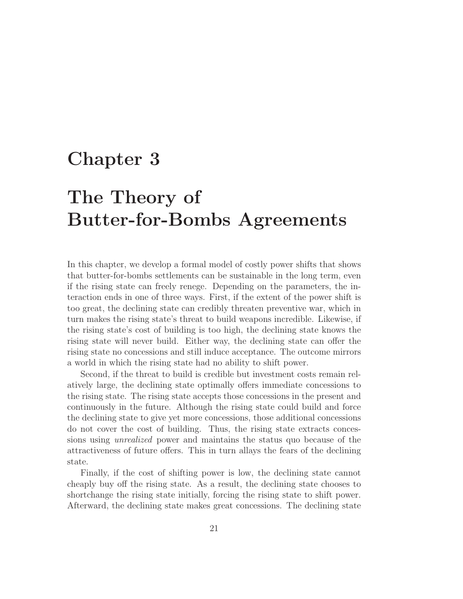## **Chapter 3**

# **The Theory of Butter-for-Bombs Agreements**

In this chapter, we develop a formal model of costly power shifts that shows that butter-for-bombs settlements can be sustainable in the long term, even if the rising state can freely renege. Depending on the parameters, the interaction ends in one of three ways. First, if the extent of the power shift is too great, the declining state can credibly threaten preventive war, which in turn makes the rising state's threat to build weapons incredible. Likewise, if the rising state's cost of building is too high, the declining state knows the rising state will never build. Either way, the declining state can offer the rising state no concessions and still induce acceptance. The outcome mirrors a world in which the rising state had no ability to shift power.

Second, if the threat to build is credible but investment costs remain relatively large, the declining state optimally offers immediate concessions to the rising state. The rising state accepts those concessions in the present and continuously in the future. Although the rising state could build and force the declining state to give yet more concessions, those additional concessions do not cover the cost of building. Thus, the rising state extracts concessions using unrealized power and maintains the status quo because of the attractiveness of future offers. This in turn allays the fears of the declining state.

Finally, if the cost of shifting power is low, the declining state cannot cheaply buy off the rising state. As a result, the declining state chooses to shortchange the rising state initially, forcing the rising state to shift power. Afterward, the declining state makes great concessions. The declining state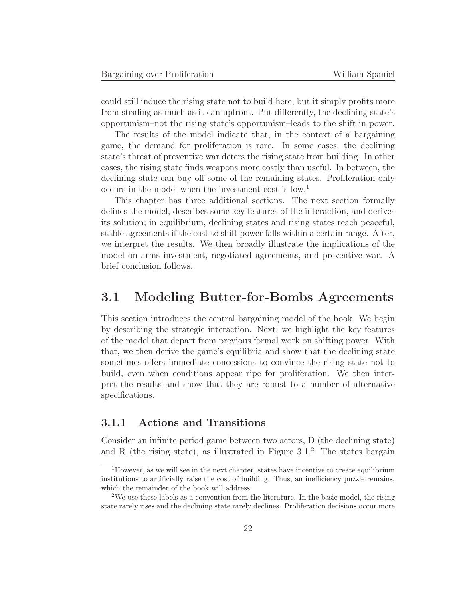could still induce the rising state not to build here, but it simply profits more from stealing as much as it can upfront. Put differently, the declining state's opportunism–not the rising state's opportunism–leads to the shift in power.

The results of the model indicate that, in the context of a bargaining game, the demand for proliferation is rare. In some cases, the declining state's threat of preventive war deters the rising state from building. In other cases, the rising state finds weapons more costly than useful. In between, the declining state can buy off some of the remaining states. Proliferation only occurs in the model when the investment cost is low.<sup>1</sup>

This chapter has three additional sections. The next section formally defines the model, describes some key features of the interaction, and derives its solution; in equilibrium, declining states and rising states reach peaceful, stable agreements if the cost to shift power falls within a certain range. After, we interpret the results. We then broadly illustrate the implications of the model on arms investment, negotiated agreements, and preventive war. A brief conclusion follows.

## **3.1 Modeling Butter-for-Bombs Agreements**

This section introduces the central bargaining model of the book. We begin by describing the strategic interaction. Next, we highlight the key features of the model that depart from previous formal work on shifting power. With that, we then derive the game's equilibria and show that the declining state sometimes offers immediate concessions to convince the rising state not to build, even when conditions appear ripe for proliferation. We then interpret the results and show that they are robust to a number of alternative specifications.

### **3.1.1 Actions and Transitions**

Consider an infinite period game between two actors, D (the declining state) and R (the rising state), as illustrated in Figure  $3.1<sup>2</sup>$  The states bargain

<sup>&</sup>lt;sup>1</sup>However, as we will see in the next chapter, states have incentive to create equilibrium institutions to artificially raise the cost of building. Thus, an inefficiency puzzle remains, which the remainder of the book will address.

<sup>&</sup>lt;sup>2</sup>We use these labels as a convention from the literature. In the basic model, the rising state rarely rises and the declining state rarely declines. Proliferation decisions occur more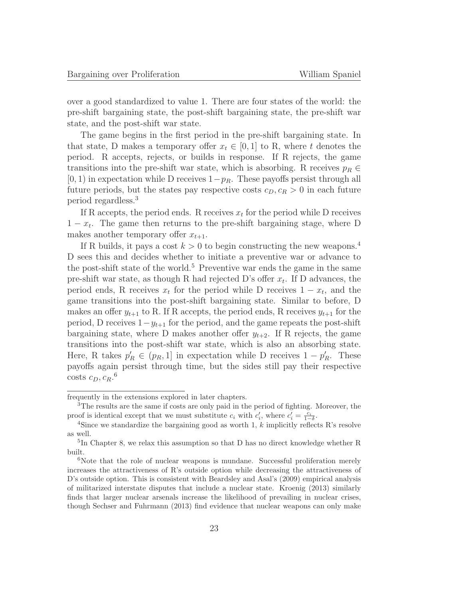over a good standardized to value 1. There are four states of the world: the pre-shift bargaining state, the post-shift bargaining state, the pre-shift war state, and the post-shift war state.

The game begins in the first period in the pre-shift bargaining state. In that state, D makes a temporary offer  $x_t \in [0,1]$  to R, where t denotes the period. R accepts, rejects, or builds in response. If R rejects, the game transitions into the pre-shift war state, which is absorbing. R receives  $p_R \in$  $[0, 1)$  in expectation while D receives  $1-p_R$ . These payoffs persist through all future periods, but the states pay respective costs  $c_D, c_R > 0$  in each future period regardless.<sup>3</sup>

If R accepts, the period ends. R receives  $x_t$  for the period while D receives  $1 - x_t$ . The game then returns to the pre-shift bargaining stage, where D makes another temporary offer  $x_{t+1}$ .

If R builds, it pays a cost  $k > 0$  to begin constructing the new weapons.<sup>4</sup> D sees this and decides whether to initiate a preventive war or advance to the post-shift state of the world.<sup>5</sup> Preventive war ends the game in the same pre-shift war state, as though R had rejected D's offer  $x_t$ . If D advances, the period ends, R receives  $x_t$  for the period while D receives  $1 - x_t$ , and the game transitions into the post-shift bargaining state. Similar to before, D makes an offer  $y_{t+1}$  to R. If R accepts, the period ends, R receives  $y_{t+1}$  for the period, D receives  $1-y_{t+1}$  for the period, and the game repeats the post-shift bargaining state, where D makes another offer  $y_{t+2}$ . If R rejects, the game transitions into the post-shift war state, which is also an absorbing state. Here, R takes  $p'_R \in (p_R, 1]$  in expectation while D receives  $1 - p'_R$ . These payoffs again persist through time, but the sides still pay their respective costs  $c_D, c_R.$ <sup>6</sup>

frequently in the extensions explored in later chapters.

<sup>3</sup>The results are the same if costs are only paid in the period of fighting. Moreover, the proof is identical except that we must substitute  $c_i$  with  $c'_i$ , where  $c'_i = \frac{c_i}{1-c_i}$ 

<sup>&</sup>lt;sup>4</sup>Since we standardize the bargaining good as worth 1, k implicitly reflects R's resolve as well.

<sup>5</sup>In Chapter 8, we relax this assumption so that D has no direct knowledge whether R built.

<sup>&</sup>lt;sup>6</sup>Note that the role of nuclear weapons is mundane. Successful proliferation merely increases the attractiveness of R's outside option while decreasing the attractiveness of D's outside option. This is consistent with Beardsley and Asal's (2009) empirical analysis of militarized interstate disputes that include a nuclear state. Kroenig (2013) similarly finds that larger nuclear arsenals increase the likelihood of prevailing in nuclear crises, though Sechser and Fuhrmann (2013) find evidence that nuclear weapons can only make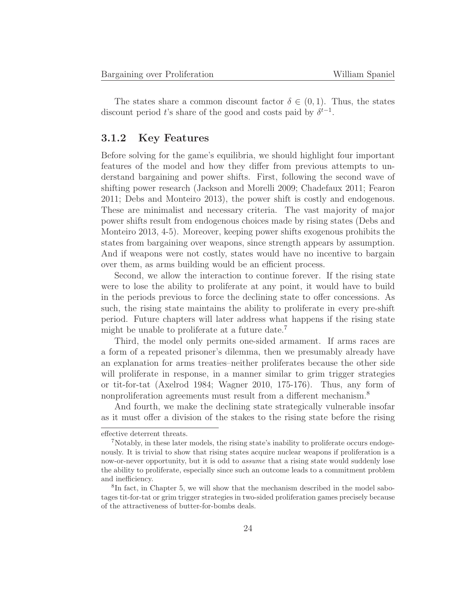The states share a common discount factor  $\delta \in (0,1)$ . Thus, the states discount period t's share of the good and costs paid by  $\delta^{t-1}$ .

#### **3.1.2 Key Features**

Before solving for the game's equilibria, we should highlight four important features of the model and how they differ from previous attempts to understand bargaining and power shifts. First, following the second wave of shifting power research (Jackson and Morelli 2009; Chadefaux 2011; Fearon 2011; Debs and Monteiro 2013), the power shift is costly and endogenous. These are minimalist and necessary criteria. The vast majority of major power shifts result from endogenous choices made by rising states (Debs and Monteiro 2013, 4-5). Moreover, keeping power shifts exogenous prohibits the states from bargaining over weapons, since strength appears by assumption. And if weapons were not costly, states would have no incentive to bargain over them, as arms building would be an efficient process.

Second, we allow the interaction to continue forever. If the rising state were to lose the ability to proliferate at any point, it would have to build in the periods previous to force the declining state to offer concessions. As such, the rising state maintains the ability to proliferate in every pre-shift period. Future chapters will later address what happens if the rising state might be unable to proliferate at a future date.<sup>7</sup>

Third, the model only permits one-sided armament. If arms races are a form of a repeated prisoner's dilemma, then we presumably already have an explanation for arms treaties–neither proliferates because the other side will proliferate in response, in a manner similar to grim trigger strategies or tit-for-tat (Axelrod 1984; Wagner 2010, 175-176). Thus, any form of nonproliferation agreements must result from a different mechanism.<sup>8</sup>

And fourth, we make the declining state strategically vulnerable insofar as it must offer a division of the stakes to the rising state before the rising

effective deterrent threats.

<sup>7</sup>Notably, in these later models, the rising state's inability to proliferate occurs endogenously. It is trivial to show that rising states acquire nuclear weapons if proliferation is a now-or-never opportunity, but it is odd to *assume* that a rising state would suddenly lose the ability to proliferate, especially since such an outcome leads to a commitment problem and inefficiency.

<sup>8</sup>In fact, in Chapter 5, we will show that the mechanism described in the model sabotages tit-for-tat or grim trigger strategies in two-sided proliferation games precisely because of the attractiveness of butter-for-bombs deals.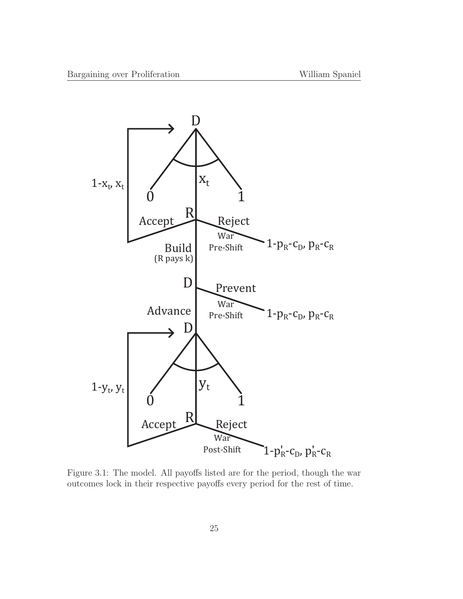

Figure 3.1: The model. All payoffs listed are for the period, though the war outcomes lock in their respective payoffs every period for the rest of time.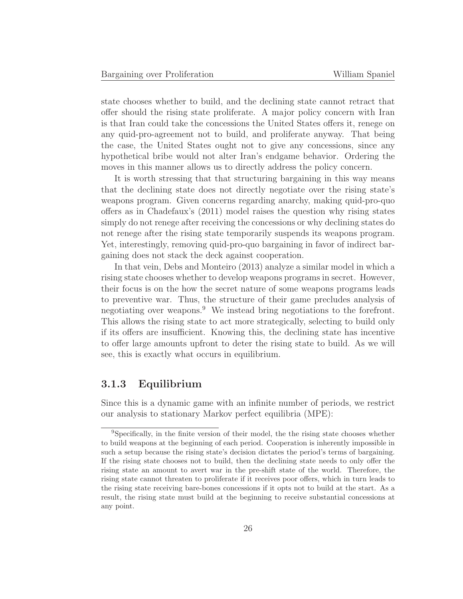state chooses whether to build, and the declining state cannot retract that offer should the rising state proliferate. A major policy concern with Iran is that Iran could take the concessions the United States offers it, renege on any quid-pro-agreement not to build, and proliferate anyway. That being the case, the United States ought not to give any concessions, since any hypothetical bribe would not alter Iran's endgame behavior. Ordering the moves in this manner allows us to directly address the policy concern.

It is worth stressing that that structuring bargaining in this way means that the declining state does not directly negotiate over the rising state's weapons program. Given concerns regarding anarchy, making quid-pro-quo offers as in Chadefaux's (2011) model raises the question why rising states simply do not renege after receiving the concessions or why declining states do not renege after the rising state temporarily suspends its weapons program. Yet, interestingly, removing quid-pro-quo bargaining in favor of indirect bargaining does not stack the deck against cooperation.

In that vein, Debs and Monteiro (2013) analyze a similar model in which a rising state chooses whether to develop weapons programs in secret. However, their focus is on the how the secret nature of some weapons programs leads to preventive war. Thus, the structure of their game precludes analysis of negotiating over weapons.<sup>9</sup> We instead bring negotiations to the forefront. This allows the rising state to act more strategically, selecting to build only if its offers are insufficient. Knowing this, the declining state has incentive to offer large amounts upfront to deter the rising state to build. As we will see, this is exactly what occurs in equilibrium.

## **3.1.3 Equilibrium**

Since this is a dynamic game with an infinite number of periods, we restrict our analysis to stationary Markov perfect equilibria (MPE):

<sup>9</sup>Specifically, in the finite version of their model, the the rising state chooses whether to build weapons at the beginning of each period. Cooperation is inherently impossible in such a setup because the rising state's decision dictates the period's terms of bargaining. If the rising state chooses not to build, then the declining state needs to only offer the rising state an amount to avert war in the pre-shift state of the world. Therefore, the rising state cannot threaten to proliferate if it receives poor offers, which in turn leads to the rising state receiving bare-bones concessions if it opts not to build at the start. As a result, the rising state must build at the beginning to receive substantial concessions at any point.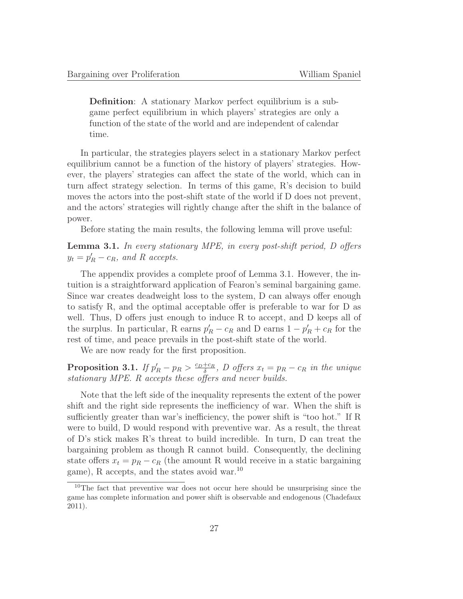**Definition**: A stationary Markov perfect equilibrium is a subgame perfect equilibrium in which players' strategies are only a function of the state of the world and are independent of calendar time.

In particular, the strategies players select in a stationary Markov perfect equilibrium cannot be a function of the history of players' strategies. However, the players' strategies can affect the state of the world, which can in turn affect strategy selection. In terms of this game, R's decision to build moves the actors into the post-shift state of the world if D does not prevent, and the actors' strategies will rightly change after the shift in the balance of power.

Before stating the main results, the following lemma will prove useful:

**Lemma 3.1.** In every stationary MPE, in every post-shift period, D offers  $y_t = p'_R - c_R$ , and R accepts.

The appendix provides a complete proof of Lemma 3.1. However, the intuition is a straightforward application of Fearon's seminal bargaining game. Since war creates deadweight loss to the system, D can always offer enough to satisfy R, and the optimal acceptable offer is preferable to war for D as well. Thus, D offers just enough to induce R to accept, and D keeps all of the surplus. In particular, R earns  $p'_R - c_R$  and D earns  $1 - p'_R + c_R$  for the rest of time, and peace prevails in the post-shift state of the world.

We are now ready for the first proposition.

**Proposition 3.1.** If  $p'_R - p_R > \frac{c_D + c_R}{\delta}$ , D offers  $x_t = p_R - c_R$  in the unique stationary MPE. R accepts these offers and never builds.

Note that the left side of the inequality represents the extent of the power shift and the right side represents the inefficiency of war. When the shift is sufficiently greater than war's inefficiency, the power shift is "too hot." If R were to build, D would respond with preventive war. As a result, the threat of D's stick makes R's threat to build incredible. In turn, D can treat the bargaining problem as though R cannot build. Consequently, the declining state offers  $x_t = p_R - c_R$  (the amount R would receive in a static bargaining game), R accepts, and the states avoid war.<sup>10</sup>

<sup>10</sup>The fact that preventive war does not occur here should be unsurprising since the game has complete information and power shift is observable and endogenous (Chadefaux 2011).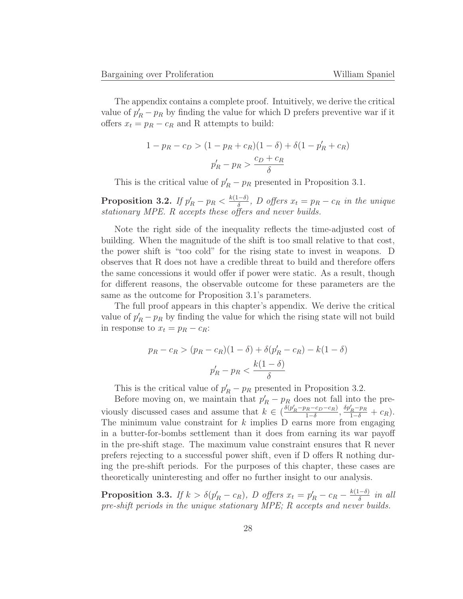The appendix contains a complete proof. Intuitively, we derive the critical value of  $p'_R - p_R$  by finding the value for which D prefers preventive war if it offers  $x_t = p_R - c_R$  and R attempts to build:

$$
1 - p_R - c_D > (1 - p_R + c_R)(1 - \delta) + \delta(1 - p'_R + c_R)
$$

$$
p'_R - p_R > \frac{c_D + c_R}{\delta}
$$

This is the critical value of  $p'_R - p_R$  presented in Proposition 3.1.

**Proposition 3.2.** If  $p'_R - p_R < \frac{k(1-\delta)}{\delta}$ , D offers  $x_t = p_R - c_R$  in the unique stationary MPE. R accepts these offers and never builds.

Note the right side of the inequality reflects the time-adjusted cost of building. When the magnitude of the shift is too small relative to that cost, the power shift is "too cold" for the rising state to invest in weapons. D observes that R does not have a credible threat to build and therefore offers the same concessions it would offer if power were static. As a result, though for different reasons, the observable outcome for these parameters are the same as the outcome for Proposition 3.1's parameters.

The full proof appears in this chapter's appendix. We derive the critical value of  $p'_R - p_R$  by finding the value for which the rising state will not build in response to  $x_t = p_R - c_R$ :

$$
p_R - c_R > (p_R - c_R)(1 - \delta) + \delta(p'_R - c_R) - k(1 - \delta)
$$

$$
p'_R - p_R < \frac{k(1 - \delta)}{\delta}
$$

This is the critical value of  $p'_R - p_R$  presented in Proposition 3.2.

Before moving on, we maintain that  $p'_R - p_R$  does not fall into the previously discussed cases and assume that  $k \in \left(\frac{\delta(p'_R-p_R-c_D-c_R)}{1-\delta}, \frac{\delta p'_R-p_R}{1-\delta}+c_R\right)$ . The minimum value constraint for  $k$  implies D earns more from engaging in a butter-for-bombs settlement than it does from earning its war payoff in the pre-shift stage. The maximum value constraint ensures that R never prefers rejecting to a successful power shift, even if D offers R nothing during the pre-shift periods. For the purposes of this chapter, these cases are theoretically uninteresting and offer no further insight to our analysis.

**Proposition 3.3.** If  $k > \delta(p'_R - c_R)$ , D offers  $x_t = p'_R - c_R - \frac{k(1-\delta)}{\delta}$  in all pre-shift periods in the unique stationary MPE; R accepts and never builds.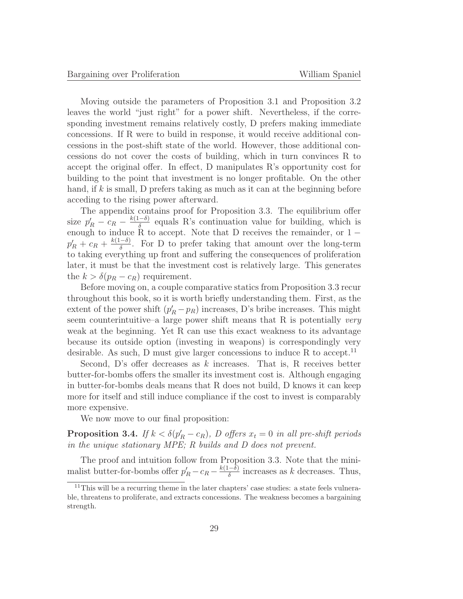Moving outside the parameters of Proposition 3.1 and Proposition 3.2 leaves the world "just right" for a power shift. Nevertheless, if the corresponding investment remains relatively costly, D prefers making immediate concessions. If R were to build in response, it would receive additional concessions in the post-shift state of the world. However, those additional concessions do not cover the costs of building, which in turn convinces R to accept the original offer. In effect, D manipulates R's opportunity cost for building to the point that investment is no longer profitable. On the other hand, if  $k$  is small, D prefers taking as much as it can at the beginning before acceding to the rising power afterward.

The appendix contains proof for Proposition 3.3. The equilibrium offer size  $p'_R - c_R - \frac{k(1-\delta)}{\delta}$  equals R's continuation value for building, which is enough to induce R to accept. Note that D receives the remainder, or  $1$  $p'_R + c_R + \frac{k(1-\delta)}{\delta}$ . For D to prefer taking that amount over the long-term to taking everything up front and suffering the consequences of proliferation later, it must be that the investment cost is relatively large. This generates the  $k > \delta(p_R - c_R)$  requirement.

Before moving on, a couple comparative statics from Proposition 3.3 recur throughout this book, so it is worth briefly understanding them. First, as the extent of the power shift  $(p'_R - p_R)$  increases, D's bribe increases. This might seem counterintuitive–a large power shift means that R is potentially *very* weak at the beginning. Yet R can use this exact weakness to its advantage because its outside option (investing in weapons) is correspondingly very desirable. As such, D must give larger concessions to induce R to accept.<sup>11</sup>

Second, D's offer decreases as  $k$  increases. That is, R receives better butter-for-bombs offers the smaller its investment cost is. Although engaging in butter-for-bombs deals means that R does not build, D knows it can keep more for itself and still induce compliance if the cost to invest is comparably more expensive.

We now move to our final proposition:

**Proposition 3.4.** If  $k < \delta(p'_R - c_R)$ , D offers  $x_t = 0$  in all pre-shift periods in the unique stationary MPE; R builds and D does not prevent.

The proof and intuition follow from Proposition 3.3. Note that the minimalist butter-for-bombs offer  $p'_R - c_R - \frac{k(1-\delta)}{\delta}$  increases as k decreases. Thus,

 $11$ This will be a recurring theme in the later chapters' case studies: a state feels vulnerable, threatens to proliferate, and extracts concessions. The weakness becomes a bargaining strength.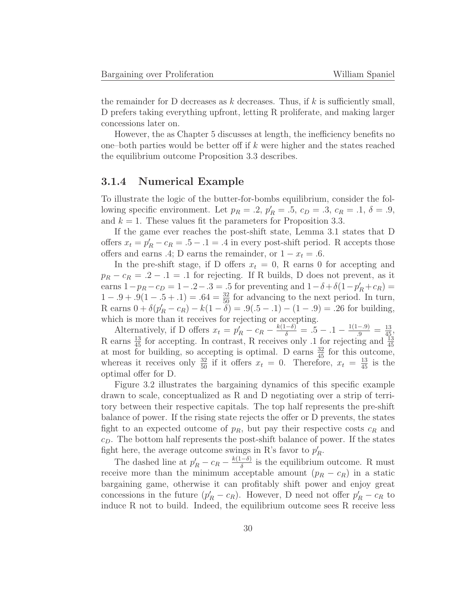the remainder for D decreases as  $k$  decreases. Thus, if  $k$  is sufficiently small, D prefers taking everything upfront, letting R proliferate, and making larger concessions later on.

However, the as Chapter 5 discusses at length, the inefficiency benefits no one–both parties would be better off if  $k$  were higher and the states reached the equilibrium outcome Proposition 3.3 describes.

#### **3.1.4 Numerical Example**

To illustrate the logic of the butter-for-bombs equilibrium, consider the following specific environment. Let  $p_R = .2$ ,  $p'_R = .5$ ,  $c_D = .3$ ,  $c_R = .1$ ,  $\delta = .9$ , and  $k = 1$ . These values fit the parameters for Proposition 3.3.

If the game ever reaches the post-shift state, Lemma 3.1 states that D offers  $x_t = p'_R - c_R = .5 - .1 = .4$  in every post-shift period. R accepts those offers and earns .4; D earns the remainder, or  $1 - x_t = .6$ .

In the pre-shift stage, if D offers  $x_t = 0$ , R earns 0 for accepting and  $p_R - c_R = .2 - .1 = .1$  for rejecting. If R builds, D does not prevent, as it earns  $1-p_R - c_D = 1 - .2 - .3 = .5$  for preventing and  $1 - \delta + \delta(1-p'_R + c_R) =$  $1 - .9 + .9(1 - .5 + .1) = .64 = \frac{32}{50}$  for advancing to the next period. In turn, R earns  $0 + \delta(p'_R - c_R) - k(1 - \delta) = .9(.5 - .1) - (1 - .9) = .26$  for building, which is more than it receives for rejecting or accepting.

Alternatively, if D offers  $x_t = p'_R - c_R - \frac{k(1-\delta)}{\delta} = .5 - .1 - \frac{1(1-.9)}{.9} = \frac{13}{45}$ R earns  $\frac{13}{45}$  for accepting. In contrast, R receives only .1 for rejecting and  $\frac{13}{45}$ at most for building, so accepting is optimal. D earns  $\frac{32}{45}$  for this outcome, whereas it receives only  $\frac{32}{50}$  if it offers  $x_t = 0$ . Therefore,  $x_t = \frac{13}{45}$  is the optimal offer for D.

Figure 3.2 illustrates the bargaining dynamics of this specific example drawn to scale, conceptualized as R and D negotiating over a strip of territory between their respective capitals. The top half represents the pre-shift balance of power. If the rising state rejects the offer or D prevents, the states fight to an expected outcome of  $p_R$ , but pay their respective costs  $c_R$  and  $c<sub>D</sub>$ . The bottom half represents the post-shift balance of power. If the states fight here, the average outcome swings in R's favor to  $p'_R$ .

The dashed line at  $p'_R - c_R - \frac{k(1-\delta)}{\delta}$  is the equilibrium outcome. R must receive more than the minimum acceptable amount  $(p_R - c_R)$  in a static bargaining game, otherwise it can profitably shift power and enjoy great concessions in the future  $(p'_R - c_R)$ . However, D need not offer  $p'_R - c_R$  to induce R not to build. Indeed, the equilibrium outcome sees R receive less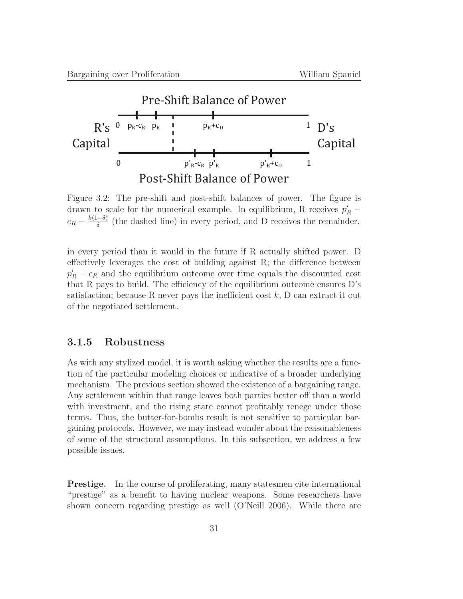

Figure 3.2: The pre-shift and post-shift balances of power. The figure is drawn to scale for the numerical example. In equilibrium, R receives  $p'_R$  –  $c_R - \frac{k(1-\delta)}{\delta}$  (the dashed line) in every period, and D receives the remainder.

in every period than it would in the future if R actually shifted power. D effectively leverages the cost of building against R; the difference between  $p'_R - c_R$  and the equilibrium outcome over time equals the discounted cost that R pays to build. The efficiency of the equilibrium outcome ensures D's satisfaction; because R never pays the inefficient cost  $k$ , D can extract it out of the negotiated settlement.

#### **3.1.5 Robustness**

As with any stylized model, it is worth asking whether the results are a function of the particular modeling choices or indicative of a broader underlying mechanism. The previous section showed the existence of a bargaining range. Any settlement within that range leaves both parties better off than a world with investment, and the rising state cannot profitably renege under those terms. Thus, the butter-for-bombs result is not sensitive to particular bargaining protocols. However, we may instead wonder about the reasonableness of some of the structural assumptions. In this subsection, we address a few possible issues.

**Prestige.** In the course of proliferating, many statesmen cite international "prestige" as a benefit to having nuclear weapons. Some researchers have shown concern regarding prestige as well (O'Neill 2006). While there are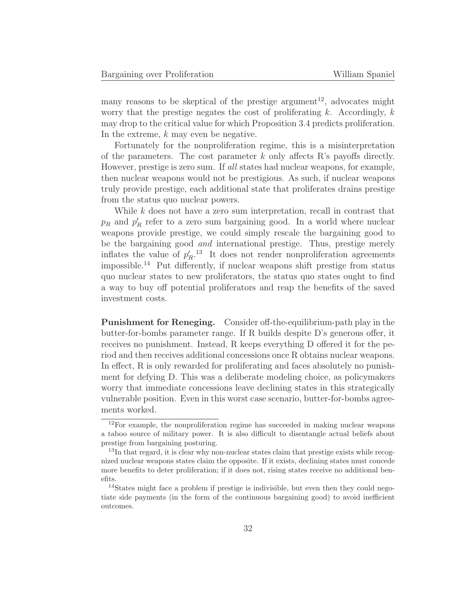many reasons to be skeptical of the prestige argument<sup>12</sup>, advocates might worry that the prestige negates the cost of proliferating  $k$ . Accordingly,  $k$ may drop to the critical value for which Proposition 3.4 predicts proliferation. In the extreme, k may even be negative.

Fortunately for the nonproliferation regime, this is a misinterpretation of the parameters. The cost parameter k only affects R's payoffs directly. However, prestige is zero sum. If all states had nuclear weapons, for example, then nuclear weapons would not be prestigious. As such, if nuclear weapons truly provide prestige, each additional state that proliferates drains prestige from the status quo nuclear powers.

While k does not have a zero sum interpretation, recall in contrast that  $p_R$  and  $p'_R$  refer to a zero sum bargaining good. In a world where nuclear weapons provide prestige, we could simply rescale the bargaining good to be the bargaining good and international prestige. Thus, prestige merely inflates the value of  $p'_R$ <sup>13</sup>. It does not render nonproliferation agreements impossible.<sup>14</sup> Put differently, if nuclear weapons shift prestige from status quo nuclear states to new proliferators, the status quo states ought to find a way to buy off potential proliferators and reap the benefits of the saved investment costs.

**Punishment for Reneging.** Consider off-the-equilibrium-path play in the butter-for-bombs parameter range. If R builds despite D's generous offer, it receives no punishment. Instead, R keeps everything D offered it for the period and then receives additional concessions once R obtains nuclear weapons. In effect, R is only rewarded for proliferating and faces absolutely no punishment for defying D. This was a deliberate modeling choice, as policymakers worry that immediate concessions leave declining states in this strategically vulnerable position. Even in this worst case scenario, butter-for-bombs agreements worked.

 $12$ For example, the nonproliferation regime has succeeded in making nuclear weapons a taboo source of military power. It is also difficult to disentangle actual beliefs about prestige from bargaining posturing.

<sup>&</sup>lt;sup>13</sup>In that regard, it is clear why non-nuclear states claim that prestige exists while recognized nuclear weapons states claim the opposite. If it exists, declining states must concede more benefits to deter proliferation; if it does not, rising states receive no additional benefits.

<sup>&</sup>lt;sup>14</sup>States might face a problem if prestige is indivisible, but even then they could negotiate side payments (in the form of the continuous bargaining good) to avoid inefficient outcomes.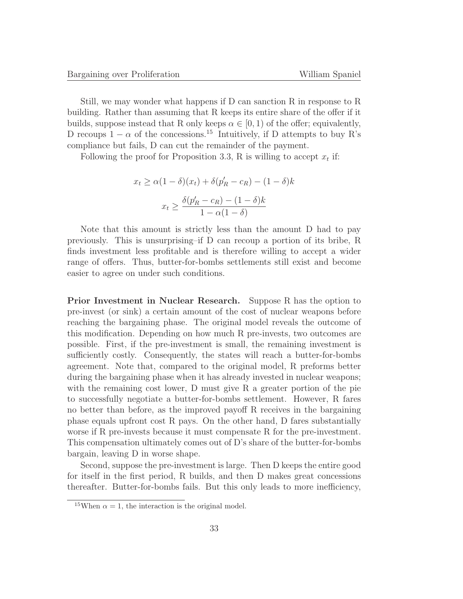Still, we may wonder what happens if D can sanction R in response to R building. Rather than assuming that R keeps its entire share of the offer if it builds, suppose instead that R only keeps  $\alpha \in [0, 1)$  of the offer; equivalently, D recoups  $1 - \alpha$  of the concessions.<sup>15</sup> Intuitively, if D attempts to buy R's compliance but fails, D can cut the remainder of the payment.

Following the proof for Proposition 3.3, R is willing to accept  $x_t$  if:

$$
x_t \ge \alpha (1 - \delta)(x_t) + \delta (p'_R - c_R) - (1 - \delta)k
$$

$$
x_t \ge \frac{\delta (p'_R - c_R) - (1 - \delta)k}{1 - \alpha (1 - \delta)}
$$

Note that this amount is strictly less than the amount D had to pay previously. This is unsurprising–if D can recoup a portion of its bribe, R finds investment less profitable and is therefore willing to accept a wider range of offers. Thus, butter-for-bombs settlements still exist and become easier to agree on under such conditions.

**Prior Investment in Nuclear Research.** Suppose R has the option to pre-invest (or sink) a certain amount of the cost of nuclear weapons before reaching the bargaining phase. The original model reveals the outcome of this modification. Depending on how much R pre-invests, two outcomes are possible. First, if the pre-investment is small, the remaining investment is sufficiently costly. Consequently, the states will reach a butter-for-bombs agreement. Note that, compared to the original model, R preforms better during the bargaining phase when it has already invested in nuclear weapons; with the remaining cost lower, D must give R a greater portion of the pie to successfully negotiate a butter-for-bombs settlement. However, R fares no better than before, as the improved payoff R receives in the bargaining phase equals upfront cost R pays. On the other hand, D fares substantially worse if R pre-invests because it must compensate R for the pre-investment. This compensation ultimately comes out of D's share of the butter-for-bombs bargain, leaving D in worse shape.

Second, suppose the pre-investment is large. Then D keeps the entire good for itself in the first period, R builds, and then D makes great concessions thereafter. Butter-for-bombs fails. But this only leads to more inefficiency,

<sup>&</sup>lt;sup>15</sup>When  $\alpha = 1$ , the interaction is the original model.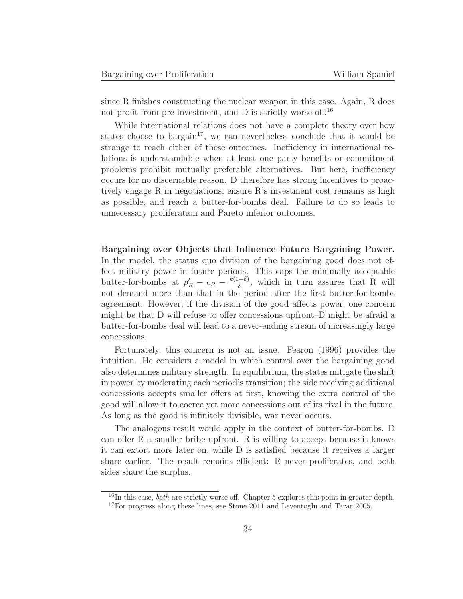since R finishes constructing the nuclear weapon in this case. Again, R does not profit from pre-investment, and  $D$  is strictly worse of  $16$ .

While international relations does not have a complete theory over how states choose to bargain<sup>17</sup>, we can nevertheless conclude that it would be strange to reach either of these outcomes. Inefficiency in international relations is understandable when at least one party benefits or commitment problems prohibit mutually preferable alternatives. But here, inefficiency occurs for no discernable reason. D therefore has strong incentives to proactively engage R in negotiations, ensure R's investment cost remains as high as possible, and reach a butter-for-bombs deal. Failure to do so leads to unnecessary proliferation and Pareto inferior outcomes.

**Bargaining over Objects that Influence Future Bargaining Power.** In the model, the status quo division of the bargaining good does not effect military power in future periods. This caps the minimally acceptable butter-for-bombs at  $p'_R - c_R - \frac{k(1-\delta)}{\delta}$ , which in turn assures that R will not demand more than that in the period after the first butter-for-bombs agreement. However, if the division of the good affects power, one concern might be that D will refuse to offer concessions upfront–D might be afraid a butter-for-bombs deal will lead to a never-ending stream of increasingly large concessions.

Fortunately, this concern is not an issue. Fearon (1996) provides the intuition. He considers a model in which control over the bargaining good also determines military strength. In equilibrium, the states mitigate the shift in power by moderating each period's transition; the side receiving additional concessions accepts smaller offers at first, knowing the extra control of the good will allow it to coerce yet more concessions out of its rival in the future. As long as the good is infinitely divisible, war never occurs.

The analogous result would apply in the context of butter-for-bombs. D can offer R a smaller bribe upfront. R is willing to accept because it knows it can extort more later on, while D is satisfied because it receives a larger share earlier. The result remains efficient: R never proliferates, and both sides share the surplus.

 $^{16}$ In this case, *both* are strictly worse off. Chapter 5 explores this point in greater depth.

 $17$  For progress along these lines, see Stone 2011 and Leventoglu and Tarar 2005.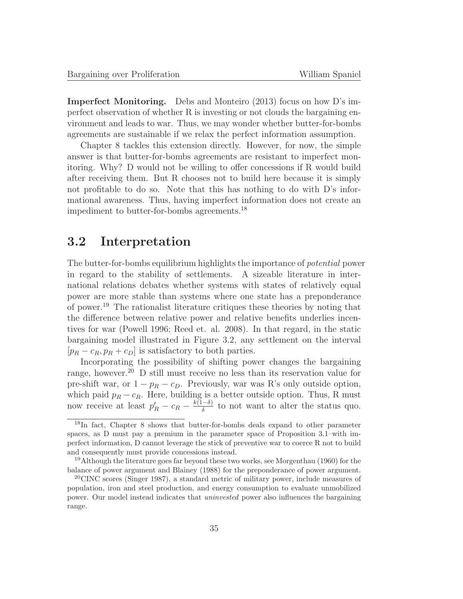**Imperfect Monitoring.** Debs and Monteiro (2013) focus on how D's imperfect observation of whether R is investing or not clouds the bargaining environment and leads to war. Thus, we may wonder whether butter-for-bombs agreements are sustainable if we relax the perfect information assumption.

Chapter 8 tackles this extension directly. However, for now, the simple answer is that butter-for-bombs agreements are resistant to imperfect monitoring. Why? D would not be willing to offer concessions if R would build after receiving them. But R chooses not to build here because it is simply not profitable to do so. Note that this has nothing to do with D's informational awareness. Thus, having imperfect information does not create an impediment to butter-for-bombs agreements.<sup>18</sup>

## **3.2 Interpretation**

The butter-for-bombs equilibrium highlights the importance of potential power in regard to the stability of settlements. A sizeable literature in international relations debates whether systems with states of relatively equal power are more stable than systems where one state has a preponderance of power.<sup>19</sup> The rationalist literature critiques these theories by noting that the difference between relative power and relative benefits underlies incentives for war (Powell 1996; Reed et. al. 2008). In that regard, in the static bargaining model illustrated in Figure 3.2, any settlement on the interval  $[p_R - c_R, p_R + c_D]$  is satisfactory to both parties.

Incorporating the possibility of shifting power changes the bargaining range, however.<sup>20</sup> D still must receive no less than its reservation value for pre-shift war, or  $1 - p_R - c_D$ . Previously, war was R's only outside option, which paid  $p_R - c_R$ . Here, building is a better outside option. Thus, R must now receive at least  $p'_R - c_R - \frac{k(1-\delta)}{\delta}$  to not want to alter the status quo.

<sup>18</sup>In fact, Chapter 8 shows that butter-for-bombs deals expand to other parameter spaces, as D must pay a premium in the parameter space of Proposition 3.1–with imperfect information, D cannot leverage the stick of preventive war to coerce R not to build and consequently must provide concessions instead.

<sup>19</sup>Although the literature goes far beyond these two works, see Morgenthau (1960) for the balance of power argument and Blainey (1988) for the preponderance of power argument.

<sup>20</sup>CINC scores (Singer 1987), a standard metric of military power, include measures of population, iron and steel production, and energy consumption to evaluate unmobilized power. Our model instead indicates that uninvested power also influences the bargaining range.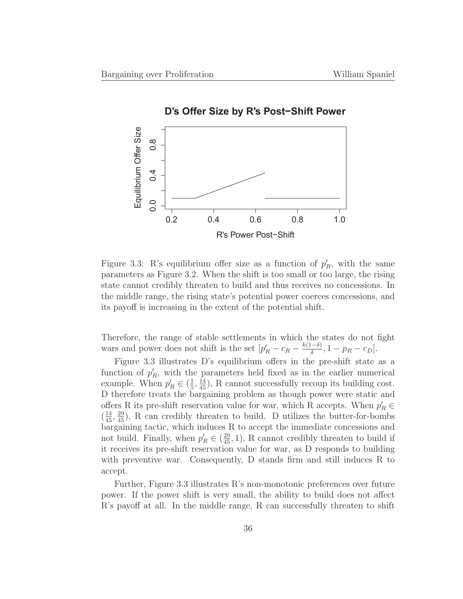

Figure 3.3: R's equilibrium offer size as a function of  $p'_R$ , with the same parameters as Figure 3.2. When the shift is too small or too large, the rising state cannot credibly threaten to build and thus receives no concessions. In the middle range, the rising state's potential power coerces concessions, and its payoff is increasing in the extent of the potential shift.

Therefore, the range of stable settlements in which the states do not fight wars and power does not shift is the set  $[p'_R - c_R - \frac{k(1-\delta)}{\delta}, 1 - p_R - c_D]$ .

Figure 3.3 illustrates D's equilibrium offers in the pre-shift state as a function of  $p'_R$ , with the parameters held fixed as in the earlier numerical example. When  $p'_R \in (\frac{1}{5}, \frac{14}{45})$ , R cannot successfully recoup its building cost. D therefore treats the bargaining problem as though power were static and offers R its pre-shift reservation value for war, which R accepts. When  $p'_R \in$  $(\frac{14}{45}, \frac{29}{45})$ , R can credibly threaten to build. D utilizes the butter-for-bombs bargaining tactic, which induces R to accept the immediate concessions and not build. Finally, when  $p'_R \in (\frac{29}{45}, 1)$ , R cannot credibly threaten to build if it receives its pre-shift reservation value for war, as D responds to building with preventive war. Consequently, D stands firm and still induces R to accept.

Further, Figure 3.3 illustrates R's non-monotonic preferences over future power. If the power shift is very small, the ability to build does not affect R's payoff at all. In the middle range, R can successfully threaten to shift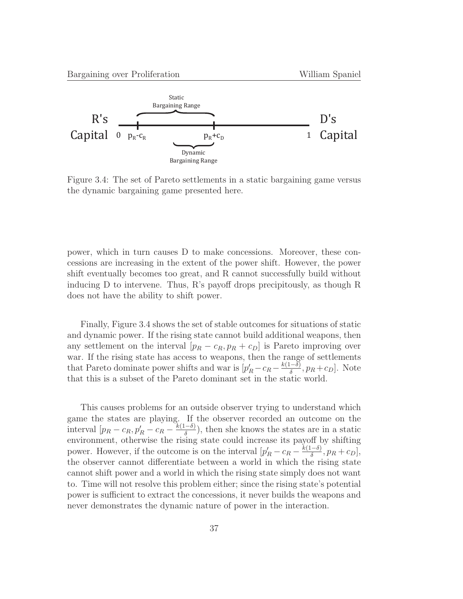

Figure 3.4: The set of Pareto settlements in a static bargaining game versus the dynamic bargaining game presented here.

power, which in turn causes D to make concessions. Moreover, these concessions are increasing in the extent of the power shift. However, the power shift eventually becomes too great, and R cannot successfully build without inducing D to intervene. Thus, R's payoff drops precipitously, as though R does not have the ability to shift power.

Finally, Figure 3.4 shows the set of stable outcomes for situations of static and dynamic power. If the rising state cannot build additional weapons, then any settlement on the interval  $[p_R - c_R, p_R + c_D]$  is Pareto improving over war. If the rising state has access to weapons, then the range of settlements that Pareto dominate power shifts and war is  $[p'_R - c_R - \frac{k(1-\delta)}{\delta}, p_R + c_D]$ . Note that this is a subset of the Pareto dominant set in the static world.

This causes problems for an outside observer trying to understand which game the states are playing. If the observer recorded an outcome on the interval  $[p_R - c_R, p'_R - c_R - \frac{k(1-\delta)}{\delta}),$  then she knows the states are in a static environment, otherwise the rising state could increase its payoff by shifting power. However, if the outcome is on the interval  $[p'_R - c_R - \frac{k(1-\delta)}{\delta}, p_R + c_D],$ the observer cannot differentiate between a world in which the rising state cannot shift power and a world in which the rising state simply does not want to. Time will not resolve this problem either; since the rising state's potential power is sufficient to extract the concessions, it never builds the weapons and never demonstrates the dynamic nature of power in the interaction.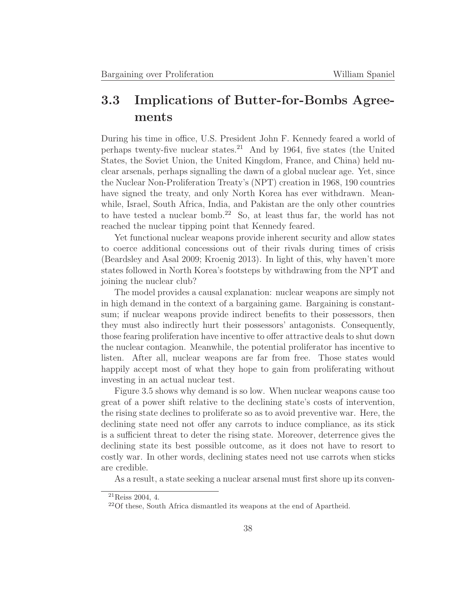## **3.3 Implications of Butter-for-Bombs Agreements**

During his time in office, U.S. President John F. Kennedy feared a world of perhaps twenty-five nuclear states.<sup>21</sup> And by 1964, five states (the United States, the Soviet Union, the United Kingdom, France, and China) held nuclear arsenals, perhaps signalling the dawn of a global nuclear age. Yet, since the Nuclear Non-Proliferation Treaty's (NPT) creation in 1968, 190 countries have signed the treaty, and only North Korea has ever withdrawn. Meanwhile, Israel, South Africa, India, and Pakistan are the only other countries to have tested a nuclear bomb.<sup>22</sup> So, at least thus far, the world has not reached the nuclear tipping point that Kennedy feared.

Yet functional nuclear weapons provide inherent security and allow states to coerce additional concessions out of their rivals during times of crisis (Beardsley and Asal 2009; Kroenig 2013). In light of this, why haven't more states followed in North Korea's footsteps by withdrawing from the NPT and joining the nuclear club?

The model provides a causal explanation: nuclear weapons are simply not in high demand in the context of a bargaining game. Bargaining is constantsum; if nuclear weapons provide indirect benefits to their possessors, then they must also indirectly hurt their possessors' antagonists. Consequently, those fearing proliferation have incentive to offer attractive deals to shut down the nuclear contagion. Meanwhile, the potential proliferator has incentive to listen. After all, nuclear weapons are far from free. Those states would happily accept most of what they hope to gain from proliferating without investing in an actual nuclear test.

Figure 3.5 shows why demand is so low. When nuclear weapons cause too great of a power shift relative to the declining state's costs of intervention, the rising state declines to proliferate so as to avoid preventive war. Here, the declining state need not offer any carrots to induce compliance, as its stick is a sufficient threat to deter the rising state. Moreover, deterrence gives the declining state its best possible outcome, as it does not have to resort to costly war. In other words, declining states need not use carrots when sticks are credible.

As a result, a state seeking a nuclear arsenal must first shore up its conven-

 $^{21}$ Reiss 2004, 4.

<sup>22</sup>Of these, South Africa dismantled its weapons at the end of Apartheid.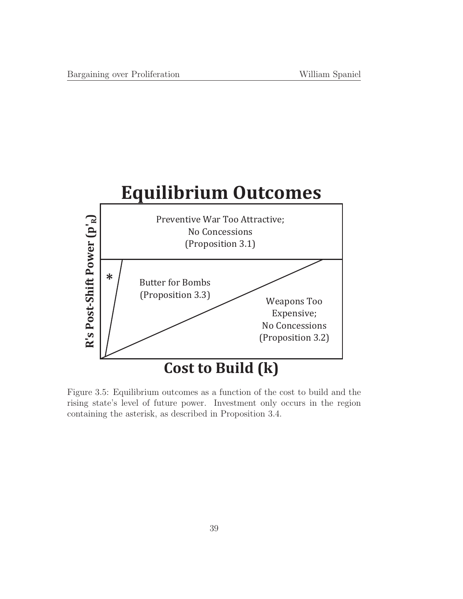

Figure 3.5: Equilibrium outcomes as a function of the cost to build and the rising state's level of future power. Investment only occurs in the region containing the asterisk, as described in Proposition 3.4.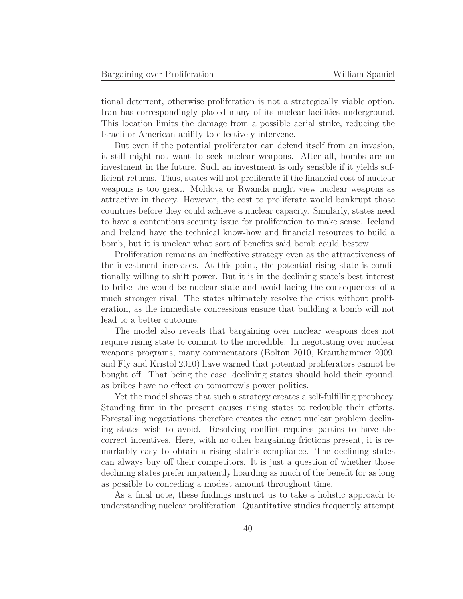tional deterrent, otherwise proliferation is not a strategically viable option. Iran has correspondingly placed many of its nuclear facilities underground. This location limits the damage from a possible aerial strike, reducing the Israeli or American ability to effectively intervene.

But even if the potential proliferator can defend itself from an invasion, it still might not want to seek nuclear weapons. After all, bombs are an investment in the future. Such an investment is only sensible if it yields sufficient returns. Thus, states will not proliferate if the financial cost of nuclear weapons is too great. Moldova or Rwanda might view nuclear weapons as attractive in theory. However, the cost to proliferate would bankrupt those countries before they could achieve a nuclear capacity. Similarly, states need to have a contentious security issue for proliferation to make sense. Iceland and Ireland have the technical know-how and financial resources to build a bomb, but it is unclear what sort of benefits said bomb could bestow.

Proliferation remains an ineffective strategy even as the attractiveness of the investment increases. At this point, the potential rising state is conditionally willing to shift power. But it is in the declining state's best interest to bribe the would-be nuclear state and avoid facing the consequences of a much stronger rival. The states ultimately resolve the crisis without proliferation, as the immediate concessions ensure that building a bomb will not lead to a better outcome.

The model also reveals that bargaining over nuclear weapons does not require rising state to commit to the incredible. In negotiating over nuclear weapons programs, many commentators (Bolton 2010, Krauthammer 2009, and Fly and Kristol 2010) have warned that potential proliferators cannot be bought off. That being the case, declining states should hold their ground, as bribes have no effect on tomorrow's power politics.

Yet the model shows that such a strategy creates a self-fulfilling prophecy. Standing firm in the present causes rising states to redouble their efforts. Forestalling negotiations therefore creates the exact nuclear problem declining states wish to avoid. Resolving conflict requires parties to have the correct incentives. Here, with no other bargaining frictions present, it is remarkably easy to obtain a rising state's compliance. The declining states can always buy off their competitors. It is just a question of whether those declining states prefer impatiently hoarding as much of the benefit for as long as possible to conceding a modest amount throughout time.

As a final note, these findings instruct us to take a holistic approach to understanding nuclear proliferation. Quantitative studies frequently attempt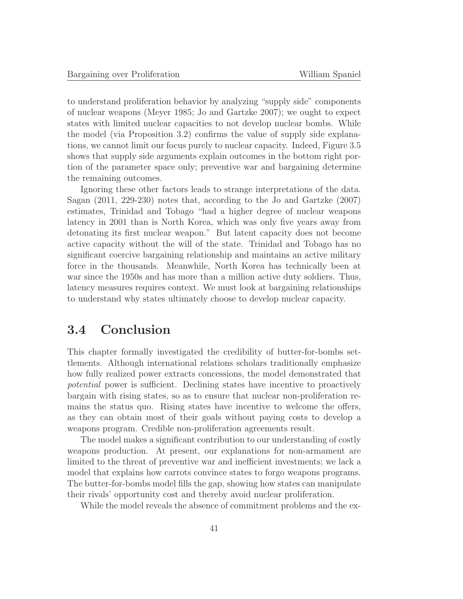to understand proliferation behavior by analyzing "supply side" components of nuclear weapons (Meyer 1985; Jo and Gartzke 2007); we ought to expect states with limited nuclear capacities to not develop nuclear bombs. While the model (via Proposition 3.2) confirms the value of supply side explanations, we cannot limit our focus purely to nuclear capacity. Indeed, Figure 3.5 shows that supply side arguments explain outcomes in the bottom right portion of the parameter space only; preventive war and bargaining determine the remaining outcomes.

Ignoring these other factors leads to strange interpretations of the data. Sagan (2011, 229-230) notes that, according to the Jo and Gartzke (2007) estimates, Trinidad and Tobago "had a higher degree of nuclear weapons latency in 2001 than is North Korea, which was only five years away from detonating its first nuclear weapon." But latent capacity does not become active capacity without the will of the state. Trinidad and Tobago has no significant coercive bargaining relationship and maintains an active military force in the thousands. Meanwhile, North Korea has technically been at war since the 1950s and has more than a million active duty soldiers. Thus, latency measures requires context. We must look at bargaining relationships to understand why states ultimately choose to develop nuclear capacity.

## **3.4 Conclusion**

This chapter formally investigated the credibility of butter-for-bombs settlements. Although international relations scholars traditionally emphasize how fully realized power extracts concessions, the model demonstrated that potential power is sufficient. Declining states have incentive to proactively bargain with rising states, so as to ensure that nuclear non-proliferation remains the status quo. Rising states have incentive to welcome the offers, as they can obtain most of their goals without paying costs to develop a weapons program. Credible non-proliferation agreements result.

The model makes a significant contribution to our understanding of costly weapons production. At present, our explanations for non-armament are limited to the threat of preventive war and inefficient investments; we lack a model that explains how carrots convince states to forgo weapons programs. The butter-for-bombs model fills the gap, showing how states can manipulate their rivals' opportunity cost and thereby avoid nuclear proliferation.

While the model reveals the absence of commitment problems and the ex-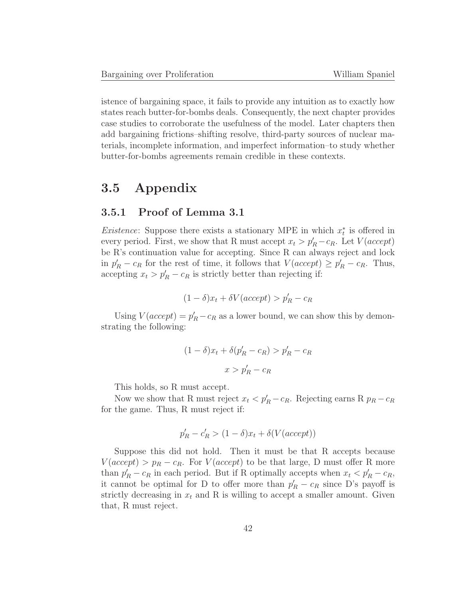istence of bargaining space, it fails to provide any intuition as to exactly how states reach butter-for-bombs deals. Consequently, the next chapter provides case studies to corroborate the usefulness of the model. Later chapters then add bargaining frictions–shifting resolve, third-party sources of nuclear materials, incomplete information, and imperfect information–to study whether butter-for-bombs agreements remain credible in these contexts.

## **3.5 Appendix**

## **3.5.1 Proof of Lemma 3.1**

*Existence*: Suppose there exists a stationary MPE in which  $x_t^*$  is offered in every period. First, we show that R must accept  $x_t > p'_R - c_R$ . Let  $V(acept)$ be R's continuation value for accepting. Since R can always reject and lock in  $p'_R - c_R$  for the rest of time, it follows that  $V(accept) \ge p'_R - c_R$ . Thus, accepting  $x_t > p'_R - c_R$  is strictly better than rejecting if:

$$
(1 - \delta)x_t + \delta V(accept) > p'_R - c_R
$$

Using  $V(accept) = p'_R - c_R$  as a lower bound, we can show this by demonstrating the following:

$$
(1 - \delta)x_t + \delta(p'_R - c_R) > p'_R - c_R
$$
\n
$$
x > p'_R - c_R
$$

This holds, so R must accept.

Now we show that R must reject  $x_t < p'_R - c_R$ . Rejecting earns R  $p_R - c_R$ for the game. Thus, R must reject if:

$$
p'_R - c'_R > (1 - \delta)x_t + \delta(V(accept))
$$

Suppose this did not hold. Then it must be that R accepts because  $V(accept) > p_R - c_R$ . For  $V(accept)$  to be that large, D must offer R more than  $p'_R - c_R$  in each period. But if R optimally accepts when  $x_t < p'_R - c_R$ , it cannot be optimal for D to offer more than  $p'_R - c_R$  since D's payoff is strictly decreasing in  $x_t$  and R is willing to accept a smaller amount. Given that, R must reject.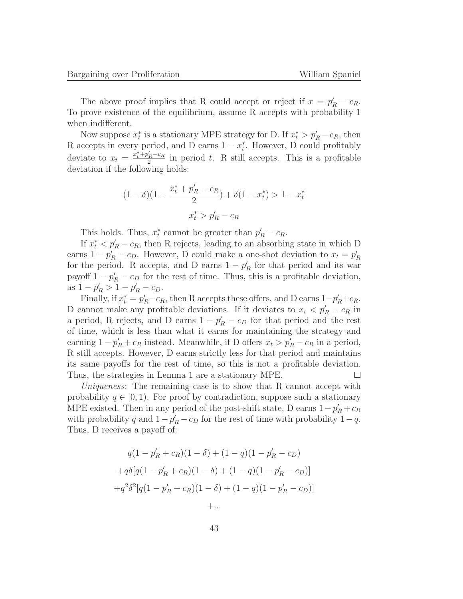The above proof implies that R could accept or reject if  $x = p'_R - c_R$ . To prove existence of the equilibrium, assume R accepts with probability 1 when indifferent.

Now suppose  $x_t^*$  is a stationary MPE strategy for D. If  $x_t^* > p'_R - c_R$ , then R accepts in every period, and D earns  $1 - x_t^*$ . However, D could profitably deviate to  $x_t = \frac{x_t^* + p_R' - c_R}{2}$  in period t. R still accepts. This is a profitable deviation if the following holds:

$$
(1 - \delta)(1 - \frac{x_t^* + p_R' - c_R}{2}) + \delta(1 - x_t^*) > 1 - x_t^*
$$

$$
x_t^* > p_R' - c_R
$$

This holds. Thus,  $x_t^*$  cannot be greater than  $p'_R - c_R$ .

If  $x_t^* < p'_R - c_R$ , then R rejects, leading to an absorbing state in which D earns  $1 - p'_R - c_P$ . However, D could make a one-shot deviation to  $x_t = p'_R$ for the period. R accepts, and D earns  $1 - p'_R$  for that period and its war payoff  $1 - p'_R - c_D$  for the rest of time. Thus, this is a profitable deviation, as  $1 - p'_R > 1 - p'_R - c_D$ .

Finally, if  $x_t^* = p'_R - c_R$ , then R accepts these offers, and D earns  $1-p'_R + c_R$ . D cannot make any profitable deviations. If it deviates to  $x_t < p'_R - c_R$  in a period, R rejects, and D earns  $1 - p'_R - c_D$  for that period and the rest of time, which is less than what it earns for maintaining the strategy and earning  $1 - p'_R + c_R$  instead. Meanwhile, if D offers  $x_t > p'_R - c_R$  in a period, R still accepts. However, D earns strictly less for that period and maintains its same payoffs for the rest of time, so this is not a profitable deviation. Thus, the strategies in Lemma 1 are a stationary MPE.  $\Box$ 

Uniqueness: The remaining case is to show that R cannot accept with probability  $q \in [0, 1)$ . For proof by contradiction, suppose such a stationary MPE existed. Then in any period of the post-shift state, D earns  $1-p'_R+c_R$ with probability q and  $1 - p'_R - c_D$  for the rest of time with probability  $1 - q$ . Thus, D receives a payoff of:

$$
q(1 - p'_R + c_R)(1 - \delta) + (1 - q)(1 - p'_R - c_D)
$$
  
+
$$
q\delta[q(1 - p'_R + c_R)(1 - \delta) + (1 - q)(1 - p'_R - c_D)]
$$
  
+
$$
q^2\delta^2[q(1 - p'_R + c_R)(1 - \delta) + (1 - q)(1 - p'_R - c_D)]
$$
  
+...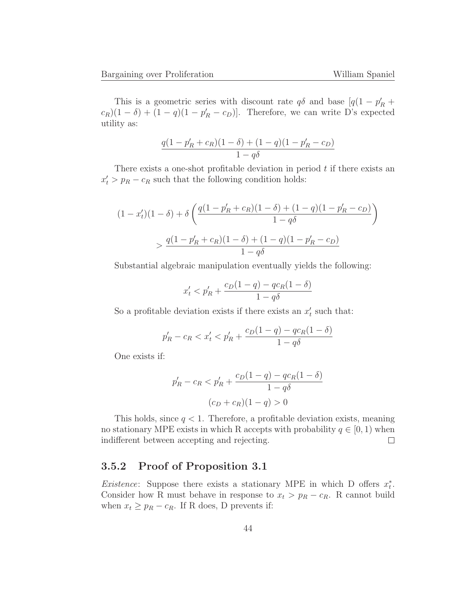This is a geometric series with discount rate  $q\delta$  and base  $[q(1 - p'_R +$  $(c_R)(1-\delta) + (1-q)(1-p_R'-c_D)$ . Therefore, we can write D's expected utility as:

$$
\frac{q(1-p'_R+c_R)(1-\delta) + (1-q)(1-p'_R-c_D)}{1-q\delta}
$$

There exists a one-shot profitable deviation in period  $t$  if there exists an  $x'_t > p_R - c_R$  such that the following condition holds:

$$
(1 - x'_t)(1 - \delta) + \delta \left( \frac{q(1 - p'_R + c_R)(1 - \delta) + (1 - q)(1 - p'_R - c_D)}{1 - q\delta} \right)
$$
  
> 
$$
\frac{q(1 - p'_R + c_R)(1 - \delta) + (1 - q)(1 - p'_R - c_D)}{1 - q\delta}
$$

Substantial algebraic manipulation eventually yields the following:

$$
x'_{t} < p'_{R} + \frac{c_{D}(1-q) - qc_{R}(1-\delta)}{1-q\delta}
$$

So a profitable deviation exists if there exists an  $x_t'$  such that:

$$
p'_R - c_R < x'_t < p'_R + \frac{c_D(1 - q) - qc_R(1 - \delta)}{1 - q\delta}
$$

One exists if:

$$
p'_R - c_R < p'_R + \frac{c_D(1 - q) - qc_R(1 - \delta)}{1 - q\delta}
$$
\n
$$
(c_D + c_R)(1 - q) > 0
$$

This holds, since  $q < 1$ . Therefore, a profitable deviation exists, meaning no stationary MPE exists in which R accepts with probability  $q \in [0, 1)$  when indifferent between accepting and rejecting. indifferent between accepting and rejecting.

## **3.5.2 Proof of Proposition 3.1**

*Existence*: Suppose there exists a stationary MPE in which D offers  $x_t^*$ . Consider how R must behave in response to  $x_t > p_R - c_R$ . R cannot build when  $x_t \geq p_R - c_R$ . If R does, D prevents if: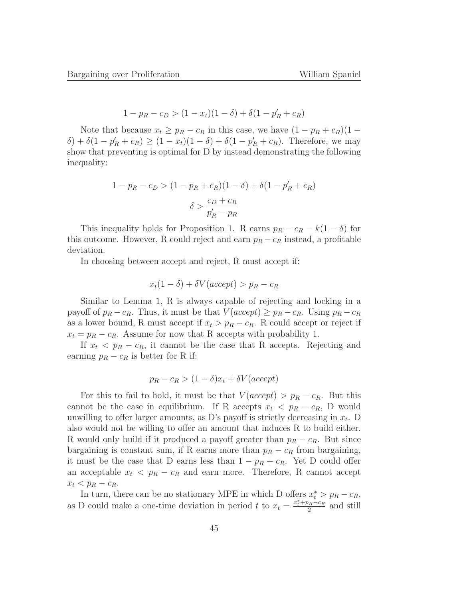$$
1 - p_R - c_D > (1 - x_t)(1 - \delta) + \delta(1 - p'_R + c_R)
$$

Note that because  $x_t \geq p_R - c_R$  in this case, we have  $(1 - p_R + c_R)(1 \delta$ ) +  $\delta(1 - p'_R + c_R) \ge (1 - x_t)(1 - \delta) + \delta(1 - p'_R + c_R)$ . Therefore, we may show that preventing is optimal for D by instead demonstrating the following inequality:

$$
1 - p_R - c_D > (1 - p_R + c_R)(1 - \delta) + \delta(1 - p'_R + c_R)
$$

$$
\delta > \frac{c_D + c_R}{p'_R - p_R}
$$

This inequality holds for Proposition 1. R earns  $p_R - c_R - k(1 - \delta)$  for this outcome. However, R could reject and earn  $p_R - c_R$  instead, a profitable deviation.

In choosing between accept and reject, R must accept if:

$$
x_t(1 - \delta) + \delta V(accept) > p_R - c_R
$$

Similar to Lemma 1, R is always capable of rejecting and locking in a payoff of  $p_R - c_R$ . Thus, it must be that  $V(accept) \geq p_R - c_R$ . Using  $p_R - c_R$ as a lower bound, R must accept if  $x_t > p_R - c_R$ . R could accept or reject if  $x_t = p_R - c_R$ . Assume for now that R accepts with probability 1.

If  $x_t$  <  $p_R$  –  $c_R$ , it cannot be the case that R accepts. Rejecting and earning  $p_R - c_R$  is better for R if:

$$
p_R - c_R > (1 - \delta)x_t + \delta V(accept)
$$

For this to fail to hold, it must be that  $V(accept) > p_R - c_R$ . But this cannot be the case in equilibrium. If R accepts  $x_t$  <  $p_R$  –  $c_R$ , D would unwilling to offer larger amounts, as D's payoff is strictly decreasing in  $x_t$ . D also would not be willing to offer an amount that induces R to build either. R would only build if it produced a payoff greater than  $p_R - c_R$ . But since bargaining is constant sum, if R earns more than  $p_R - c_R$  from bargaining, it must be the case that D earns less than  $1 - p_R + c_R$ . Yet D could offer an acceptable  $x_t$  <  $p_R - c_R$  and earn more. Therefore, R cannot accept  $x_t$  <  $p_R$  –  $c_R$ .

In turn, there can be no stationary MPE in which D offers  $x_t^* > p_R - c_R$ , as D could make a one-time deviation in period t to  $x_t = \frac{x_t^* + p_R - c_R}{2}$  and still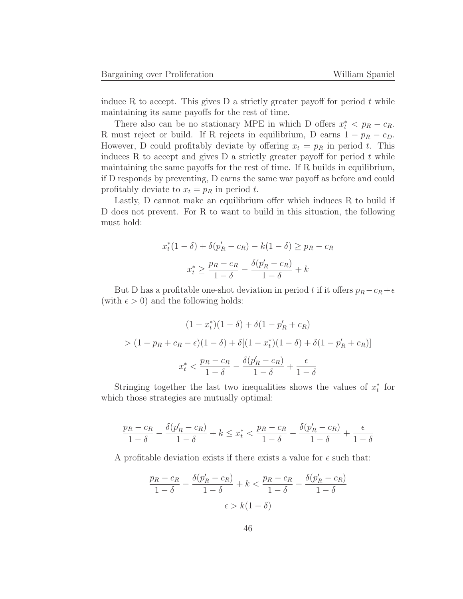induce R to accept. This gives  $D$  a strictly greater payoff for period t while maintaining its same payoffs for the rest of time.

There also can be no stationary MPE in which D offers  $x_t^* < p_R - c_R$ . R must reject or build. If R rejects in equilibrium, D earns  $1 - p_R - c_D$ . However, D could profitably deviate by offering  $x_t = p_R$  in period t. This induces R to accept and gives D a strictly greater payoff for period  $t$  while maintaining the same payoffs for the rest of time. If R builds in equilibrium, if D responds by preventing, D earns the same war payoff as before and could profitably deviate to  $x_t = p_R$  in period t.

Lastly, D cannot make an equilibrium offer which induces R to build if D does not prevent. For R to want to build in this situation, the following must hold:

$$
x_t^*(1 - \delta) + \delta(p'_R - c_R) - k(1 - \delta) \ge p_R - c_R
$$

$$
x_t^* \ge \frac{p_R - c_R}{1 - \delta} - \frac{\delta(p'_R - c_R)}{1 - \delta} + k
$$

But D has a profitable one-shot deviation in period t if it offers  $p_R - c_R + \epsilon$ (with  $\epsilon > 0$ ) and the following holds:

$$
(1 - x_t^*)(1 - \delta) + \delta(1 - p'_R + c_R)
$$
  
> 
$$
(1 - p_R + c_R - \epsilon)(1 - \delta) + \delta[(1 - x_t^*)(1 - \delta) + \delta(1 - p'_R + c_R)]
$$
  

$$
x_t^* < \frac{p_R - c_R}{1 - \delta} - \frac{\delta(p'_R - c_R)}{1 - \delta} + \frac{\epsilon}{1 - \delta}
$$

Stringing together the last two inequalities shows the values of  $x_t^*$  for which those strategies are mutually optimal:

$$
\frac{p_R - c_R}{1 - \delta} - \frac{\delta(p'_R - c_R)}{1 - \delta} + k \le x_t^* < \frac{p_R - c_R}{1 - \delta} - \frac{\delta(p'_R - c_R)}{1 - \delta} + \frac{\epsilon}{1 - \delta}
$$

A profitable deviation exists if there exists a value for  $\epsilon$  such that:

$$
\frac{p_R - c_R}{1 - \delta} - \frac{\delta(p'_R - c_R)}{1 - \delta} + k < \frac{p_R - c_R}{1 - \delta} - \frac{\delta(p'_R - c_R)}{1 - \delta}
$$
\n
$$
\epsilon > k(1 - \delta)
$$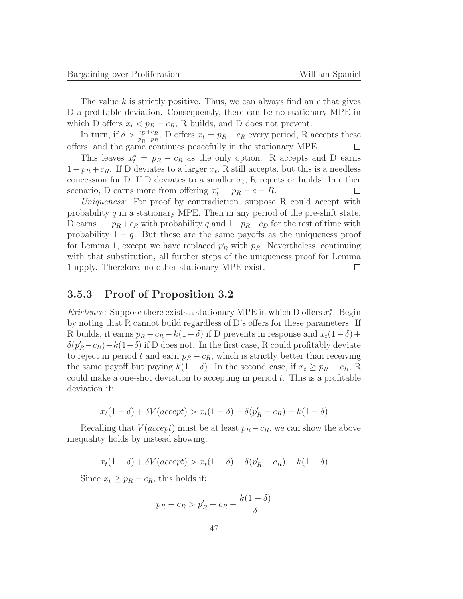The value k is strictly positive. Thus, we can always find an  $\epsilon$  that gives D a profitable deviation. Consequently, there can be no stationary MPE in which D offers  $x_t < p_R - c_R$ , R builds, and D does not prevent.

In turn, if  $\delta > \frac{c_D+c_R}{p'_R-p_R}$ , D offers  $x_t = p_R - c_R$  every period, R accepts these offers, and the game continues peacefully in the stationary MPE.

This leaves  $x_t^* = p_R - c_R$  as the only option. R accepts and D earns  $1-p_R+c_R$ . If D deviates to a larger  $x_t$ , R still accepts, but this is a needless concession for D. If D deviates to a smaller  $x_t$ , R rejects or builds. In either scenario, D earns more from offering  $x_t^* = p_R - c - R$ .  $\Box$ 

Uniqueness: For proof by contradiction, suppose R could accept with probability q in a stationary MPE. Then in any period of the pre-shift state, D earns  $1-p_R+c_R$  with probability q and  $1-p_R-c_D$  for the rest of time with probability  $1 - q$ . But these are the same payoffs as the uniqueness proof for Lemma 1, except we have replaced  $p'_R$  with  $p_R$ . Nevertheless, continuing with that substitution, all further steps of the uniqueness proof for Lemma 1 apply. Therefore, no other stationary MPE exist.  $\Box$ 

#### **3.5.3 Proof of Proposition 3.2**

*Existence*: Suppose there exists a stationary MPE in which D offers  $x_t^*$ . Begin by noting that R cannot build regardless of D's offers for these parameters. If R builds, it earns  $p_R - c_R - k(1-\delta)$  if D prevents in response and  $x_t(1-\delta)$  +  $\delta(p'_R - c_R) - k(1 - \delta)$  if D does not. In the first case, R could profitably deviate to reject in period t and earn  $p_R - c_R$ , which is strictly better than receiving the same payoff but paying  $k(1 - \delta)$ . In the second case, if  $x_t \geq p_R - c_R$ , R could make a one-shot deviation to accepting in period  $t$ . This is a profitable deviation if:

$$
x_t(1 - \delta) + \delta V(accept) > x_t(1 - \delta) + \delta(p'_R - c_R) - k(1 - \delta)
$$

Recalling that  $V(accept)$  must be at least  $p_R - c_R$ , we can show the above inequality holds by instead showing:

$$
x_t(1 - \delta) + \delta V(accept) > x_t(1 - \delta) + \delta(p'_R - c_R) - k(1 - \delta)
$$

Since  $x_t \geq p_R - c_R$ , this holds if:

$$
p_R - c_R > p'_R - c_R - \frac{k(1 - \delta)}{\delta}
$$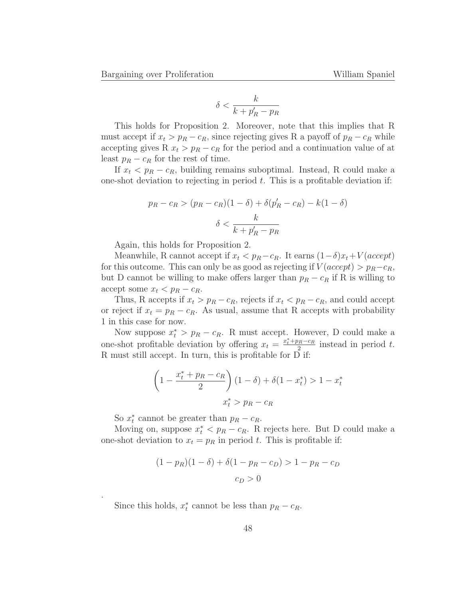$$
\delta < \frac{k}{k + p'_R - p_R}
$$

This holds for Proposition 2. Moreover, note that this implies that R must accept if  $x_t > p_R - c_R$ , since rejecting gives R a payoff of  $p_R - c_R$  while accepting gives R  $x_t > p_R - c_R$  for the period and a continuation value of at least  $p_R - c_R$  for the rest of time.

If  $x_t$  <  $p_R$  –  $c_R$ , building remains suboptimal. Instead, R could make a one-shot deviation to rejecting in period  $t$ . This is a profitable deviation if:

$$
p_R - c_R > (p_R - c_R)(1 - \delta) + \delta(p'_R - c_R) - k(1 - \delta)
$$
\n
$$
\delta < \frac{k}{k + p'_R - p_R}
$$

Again, this holds for Proposition 2.

Meanwhile, R cannot accept if  $x_t < p_R - c_R$ . It earns  $(1-\delta)x_t + V(accept)$ for this outcome. This can only be as good as rejecting if  $V(accept) > p<sub>R</sub> - c<sub>R</sub>$ , but D cannot be willing to make offers larger than  $p_R - c_R$  if R is willing to accept some  $x_t$  <  $p_R$  –  $c_R$ .

Thus, R accepts if  $x_t > p_R - c_R$ , rejects if  $x_t < p_R - c_R$ , and could accept or reject if  $x_t = p_R - c_R$ . As usual, assume that R accepts with probability 1 in this case for now.

Now suppose  $x_t^* > p_R - c_R$ . R must accept. However, D could make a one-shot profitable deviation by offering  $x_t = \frac{x_t^* + p_R - c_R}{2}$  instead in period t. R must still accept. In turn, this is profitable for  $\overrightarrow{D}$  if:

$$
\left(1 - \frac{x_t^* + p_R - c_R}{2}\right)(1 - \delta) + \delta(1 - x_t^*) > 1 - x_t^*
$$

$$
x_t^* > p_R - c_R
$$

So  $x_t^*$  cannot be greater than  $p_R - c_R$ .

.

Moving on, suppose  $x_t^* < p_R - c_R$ . R rejects here. But D could make a one-shot deviation to  $x_t = p_R$  in period t. This is profitable if:

$$
(1 - pR)(1 - \delta) + \delta(1 - pR - cD) > 1 - pR - cD
$$

$$
cD > 0
$$

Since this holds,  $x_t^*$  cannot be less than  $p_R - c_R$ .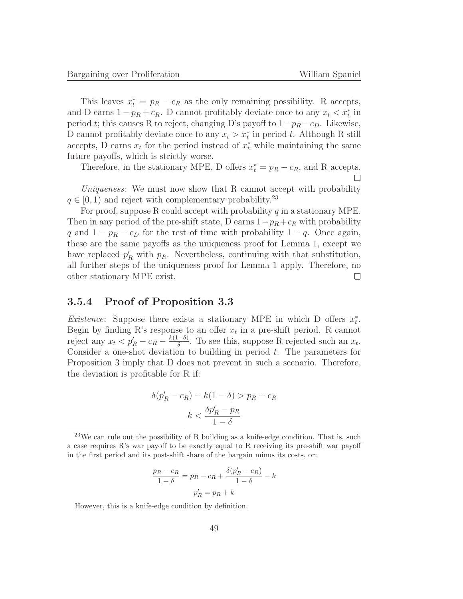This leaves  $x_t^* = p_R - c_R$  as the only remaining possibility. R accepts, and D earns  $1 - p_R + c_R$ . D cannot profitably deviate once to any  $x_t < x_t^*$  in period t; this causes R to reject, changing D's payoff to  $1-p_R-c_D$ . Likewise, D cannot profitably deviate once to any  $x_t > x_t^*$  in period t. Although R still accepts, D earns  $x_t$  for the period instead of  $x_t^*$  while maintaining the same future payoffs, which is strictly worse.

Therefore, in the stationary MPE, D offers  $x_t^* = p_R - c_R$ , and R accepts.

Uniqueness: We must now show that R cannot accept with probability  $q \in [0, 1)$  and reject with complementary probability.<sup>23</sup>

For proof, suppose R could accept with probability  $q$  in a stationary MPE. Then in any period of the pre-shift state, D earns  $1-p_R+c_R$  with probability q and  $1 - p_R - c_D$  for the rest of time with probability  $1 - q$ . Once again, these are the same payoffs as the uniqueness proof for Lemma 1, except we have replaced  $p'_R$  with  $p_R$ . Nevertheless, continuing with that substitution, all further steps of the uniqueness proof for Lemma 1 apply. Therefore, no other stationary MPE exist.  $\Box$ 

#### **3.5.4 Proof of Proposition 3.3**

*Existence*: Suppose there exists a stationary MPE in which D offers  $x_t^*$ . Begin by finding R's response to an offer  $x_t$  in a pre-shift period. R cannot reject any  $x_t < p'_R - c_R - \frac{k(1-\delta)}{\delta}$ . To see this, suppose R rejected such an  $x_t$ . Consider a one-shot deviation to building in period  $t$ . The parameters for Proposition 3 imply that D does not prevent in such a scenario. Therefore, the deviation is profitable for R if:

$$
\delta(p'_R - c_R) - k(1 - \delta) > p_R - c_R
$$
\n
$$
k < \frac{\delta p'_R - p_R}{1 - \delta}
$$

$$
\frac{p_R - c_R}{1 - \delta} = p_R - c_R + \frac{\delta(p'_R - c_R)}{1 - \delta} - k
$$

$$
p'_R = p_R + k
$$

However, this is a knife-edge condition by definition.

 $23$ We can rule out the possibility of R building as a knife-edge condition. That is, such a case requires R's war payoff to be exactly equal to R receiving its pre-shift war payoff in the first period and its post-shift share of the bargain minus its costs, or: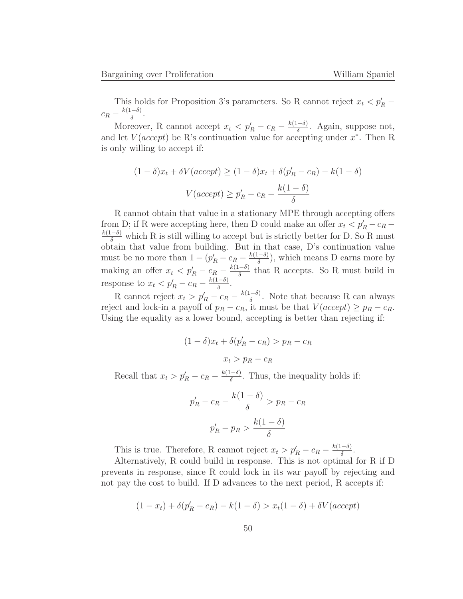This holds for Proposition 3's parameters. So R cannot reject  $x_t < p'_R$  –  $c_R - \frac{k(1-\delta)}{\delta}$ .

Moreover, R cannot accept  $x_t < p'_R - c_R - \frac{k(1-\delta)}{\delta}$ . Again, suppose not, and let  $V(accept)$  be R's continuation value for accepting under  $x^*$ . Then R is only willing to accept if:

$$
(1 - \delta)x_t + \delta V(accept) \ge (1 - \delta)x_t + \delta(p'_R - c_R) - k(1 - \delta)
$$

$$
V(accept) \ge p'_R - c_R - \frac{k(1 - \delta)}{\delta}
$$

R cannot obtain that value in a stationary MPE through accepting offers from D; if R were accepting here, then D could make an offer  $x_t < p'_R - c_R - \frac{k(1-\delta)}{\delta}$  which R is still willing to accept but is strictly better for D. So R must obtain that value from building. But in that case, D's continuation value must be no more than  $1 - (p'_R - c_R - \frac{k(1-\delta)}{\delta})$ , which means D earns more by making an offer  $x_t < p'_R - c_R - \frac{k(1-\delta)}{\delta}$  that R accepts. So R must build in response to  $x_t < p'_R - c_R - \frac{k(1-\delta)}{\delta}$ .

R cannot reject  $x_t > p'_R - c_R - \frac{k(1-\delta)}{\delta}$ . Note that because R can always reject and lock-in a payoff of  $p_R - c_R$ , it must be that  $V(accept) \ge p_R - c_R$ . Using the equality as a lower bound, accepting is better than rejecting if:

$$
(1 - \delta)x_t + \delta(p'_R - c_R) > p_R - c_R
$$

$$
x_t > p_R - c_R
$$

Recall that  $x_t > p'_R - c_R - \frac{k(1-\delta)}{\delta}$ . Thus, the inequality holds if:

$$
p'_R - c_R - \frac{k(1 - \delta)}{\delta} > p_R - c_R
$$
\n
$$
p'_R - p_R > \frac{k(1 - \delta)}{\delta}
$$

This is true. Therefore, R cannot reject  $x_t > p'_R - c_R - \frac{k(1-\delta)}{\delta}$ .

Alternatively, R could build in response. This is not optimal for R if D prevents in response, since R could lock in its war payoff by rejecting and not pay the cost to build. If D advances to the next period, R accepts if:

$$
(1 - xt) + \delta(p'R - cR) - k(1 - \delta) > xt(1 - \delta) + \delta V(accept)
$$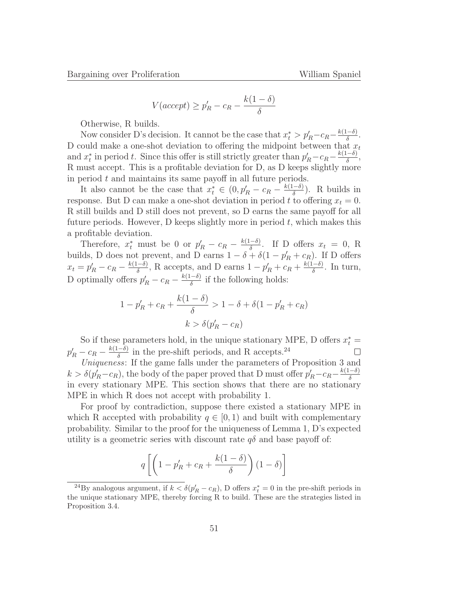$$
V(accept) \ge p'_R - c_R - \frac{k(1 - \delta)}{\delta}
$$

Otherwise, R builds.

Now consider D's decision. It cannot be the case that  $x_t^* > p'_R - c_R - \frac{k(1-\delta)}{\delta}$ . D could make a one-shot deviation to offering the midpoint between that  $x_t$ and  $x_t^*$  in period t. Since this offer is still strictly greater than  $p'_R - c_R - \frac{k(1-\delta)}{\delta}$ , R must accept. This is a profitable deviation for D, as D keeps slightly more in period  $t$  and maintains its same payoff in all future periods.

It also cannot be the case that  $x_t^* \in (0, p'_R - c_R - \frac{k(1-\delta)}{\delta})$ . R builds in response. But D can make a one-shot deviation in period t to offering  $x_t = 0$ . R still builds and D still does not prevent, so D earns the same payoff for all future periods. However, D keeps slightly more in period  $t$ , which makes this a profitable deviation.

Therefore,  $x_t^*$  must be 0 or  $p'_R - c_R - \frac{k(1-\delta)}{\delta}$ . If D offers  $x_t = 0$ , R builds, D does not prevent, and D earns  $1 - \delta + \delta(1 - p'_R + c_R)$ . If D offers  $x_t = p'_R - c_R - \frac{k(1-\delta)}{\delta}$ , R accepts, and D earns  $1 - p'_R + c_R + \frac{k(1-\delta)}{\delta}$ . In turn, D optimally offers  $p'_R - c_R - \frac{k(1-\delta)}{\delta}$  if the following holds:

$$
1 - p'_R + c_R + \frac{k(1 - \delta)}{\delta} > 1 - \delta + \delta(1 - p'_R + c_R)
$$

$$
k > \delta(p'_R - c_R)
$$

So if these parameters hold, in the unique stationary MPE, D offers  $x_t^* =$  $p'_R - c_R - \frac{k(1-\delta)}{\delta}$  in the pre-shift periods, and R accepts.<sup>24</sup>  $\Box$ 

Uniqueness: If the game falls under the parameters of Proposition 3 and  $k > \delta(p'_R - c_R)$ , the body of the paper proved that D must offer  $p'_R - c_R - \frac{k(1-\delta)}{\delta}$ in every stationary MPE. This section shows that there are no stationary MPE in which R does not accept with probability 1.

For proof by contradiction, suppose there existed a stationary MPE in which R accepted with probability  $q \in [0, 1)$  and built with complementary probability. Similar to the proof for the uniqueness of Lemma 1, D's expected utility is a geometric series with discount rate  $q\delta$  and base payoff of:

$$
q\left[\left(1-p'_R+c_R+\frac{k(1-\delta)}{\delta}\right)(1-\delta)\right]
$$

<sup>&</sup>lt;sup>24</sup>By analogous argument, if  $k < \delta(p'_R - c_R)$ , D offers  $x_t^* = 0$  in the pre-shift periods in the unique stationary MPE, thereby forcing R to build. These are the strategies listed in Proposition 3.4.